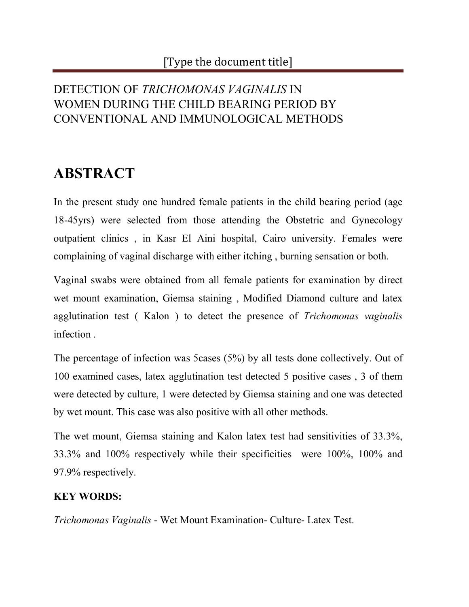### DETECTION OF *TRICHOMONAS VAGINALIS* IN WOMEN DURING THE CHILD BEARING PERIOD BY CONVENTIONAL AND IMMUNOLOGICAL METHODS

# **ABSTRACT**

In the present study one hundred female patients in the child bearing period (age 18-45yrs) were selected from those attending the Obstetric and Gynecology outpatient clinics , in Kasr El Aini hospital, Cairo university. Females were complaining of vaginal discharge with either itching , burning sensation or both.

Vaginal swabs were obtained from all female patients for examination by direct wet mount examination, Giemsa staining , Modified Diamond culture and latex agglutination test ( Kalon ) to detect the presence of *Trichomonas vaginalis* infection .

The percentage of infection was 5cases (5%) by all tests done collectively. Out of 100 examined cases, latex agglutination test detected 5 positive cases , 3 of them were detected by culture, 1 were detected by Giemsa staining and one was detected by wet mount. This case was also positive with all other methods.

The wet mount, Giemsa staining and Kalon latex test had sensitivities of 33.3%, 33.3% and 100% respectively while their specificities were 100%, 100% and 97.9% respectively.

#### **KEY WORDS:**

*Trichomonas Vaginalis* - Wet Mount Examination- Culture- Latex Test.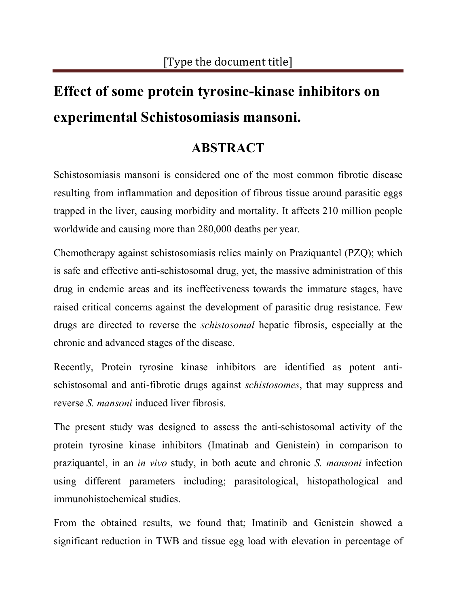# **Effect of some protein tyrosine-kinase inhibitors on experimental Schistosomiasis mansoni.**

## **ABSTRACT**

Schistosomiasis mansoni is considered one of the most common fibrotic disease resulting from inflammation and deposition of fibrous tissue around parasitic eggs trapped in the liver, causing morbidity and mortality. It affects 210 million people worldwide and causing more than 280,000 deaths per year.

Chemotherapy against schistosomiasis relies mainly on Praziquantel (PZQ); which is safe and effective anti-schistosomal drug, yet, the massive administration of this drug in endemic areas and its ineffectiveness towards the immature stages, have raised critical concerns against the development of parasitic drug resistance. Few drugs are directed to reverse the *schistosomal* hepatic fibrosis, especially at the chronic and advanced stages of the disease.

Recently, Protein tyrosine kinase inhibitors are identified as potent antischistosomal and anti-fibrotic drugs against *schistosomes*, that may suppress and reverse *S. mansoni* induced liver fibrosis.

The present study was designed to assess the anti-schistosomal activity of the protein tyrosine kinase inhibitors (Imatinab and Genistein) in comparison to praziquantel, in an *in vivo* study, in both acute and chronic *S. mansoni* infection using different parameters including; parasitological, histopathological and immunohistochemical studies.

From the obtained results, we found that; Imatinib and Genistein showed a significant reduction in TWB and tissue egg load with elevation in percentage of